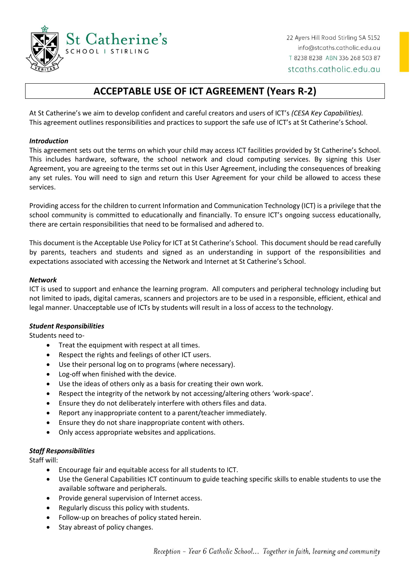

# **ACCEPTABLE USE OF ICT AGREEMENT (Years R-2)**

At St Catherine's we aim to develop confident and careful creators and users of ICT's *(CESA Key Capabilities).* This agreement outlines responsibilities and practices to support the safe use of ICT's at St Catherine's School.

#### *Introduction*

This agreement sets out the terms on which your child may access ICT facilities provided by St Catherine's School. This includes hardware, software, the school network and cloud computing services. By signing this User Agreement, you are agreeing to the terms set out in this User Agreement, including the consequences of breaking any set rules. You will need to sign and return this User Agreement for your child be allowed to access these services.

Providing access for the children to current Information and Communication Technology (ICT) is a privilege that the school community is committed to educationally and financially. To ensure ICT's ongoing success educationally, there are certain responsibilities that need to be formalised and adhered to.

This document is the Acceptable Use Policy for ICT at St Catherine's School. This document should be read carefully by parents, teachers and students and signed as an understanding in support of the responsibilities and expectations associated with accessing the Network and Internet at St Catherine's School.

#### *Network*

ICT is used to support and enhance the learning program. All computers and peripheral technology including but not limited to ipads, digital cameras, scanners and projectors are to be used in a responsible, efficient, ethical and legal manner. Unacceptable use of ICTs by students will result in a loss of access to the technology.

#### *Student Responsibilities*

Students need to-

- Treat the equipment with respect at all times.
- Respect the rights and feelings of other ICT users.
- Use their personal log on to programs (where necessary).
- Log-off when finished with the device.
- Use the ideas of others only as a basis for creating their own work.
- Respect the integrity of the network by not accessing/altering others 'work-space'.
- Ensure they do not deliberately interfere with others files and data.
- Report any inappropriate content to a parent/teacher immediately.
- Ensure they do not share inappropriate content with others.
- Only access appropriate websites and applications.

# *Staff Responsibilities*

Staff will:

- Encourage fair and equitable access for all students to ICT.
- Use the General Capabilities ICT continuum to guide teaching specific skills to enable students to use the available software and peripherals.
- Provide general supervision of Internet access.
- Regularly discuss this policy with students.
- Follow-up on breaches of policy stated herein.
- Stay abreast of policy changes.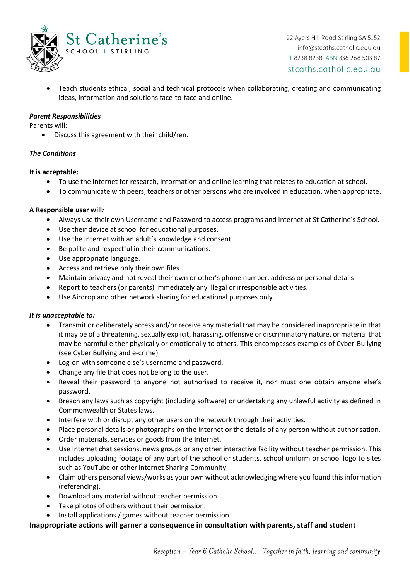

• Teach students ethical, social and technical protocols when collaborating, creating and communicating ideas, information and solutions face-to-face and online.

# *Parent Responsibilities*

Parents will:

• Discuss this agreement with their child/ren.

## *The Conditions*

#### **It is acceptable:**

- To use the Internet for research, information and online learning that relates to education at school.
- To communicate with peers, teachers or other persons who are involved in education, when appropriate.

## **A Responsible user will***:*

- Always use their own Username and Password to access programs and Internet at St Catherine's School.
- Use their device at school for educational purposes.
- Use the Internet with an adult's knowledge and consent.
- Be polite and respectful in their communications.
- Use appropriate language.
- Access and retrieve only their own files.
- Maintain privacy and not reveal their own or other's phone number, address or personal details
- Report to teachers (or parents) immediately any illegal or irresponsible activities.
- Use Airdrop and other network sharing for educational purposes only.

#### *It is unacceptable to:*

- Transmit or deliberately access and/or receive any material that may be considered inappropriate in that it may be of a threatening, sexually explicit, harassing, offensive or discriminatory nature, or material that may be harmful either physically or emotionally to others. This encompasses examples of Cyber-Bullying (see Cyber Bullying and e-crime)
- Log-on with someone else's username and password.
- Change any file that does not belong to the user.
- Reveal their password to anyone not authorised to receive it, nor must one obtain anyone else's password.
- Breach any laws such as copyright (including software) or undertaking any unlawful activity as defined in Commonwealth or States laws.
- Interfere with or disrupt any other users on the network through their activities.
- Place personal details or photographs on the Internet or the details of any person without authorisation.
- Order materials, services or goods from the Internet.
- Use Internet chat sessions, news groups or any other interactive facility without teacher permission. This includes uploading footage of any part of the school or students, school uniform or school logo to sites such as YouTube or other Internet Sharing Community.
- Claim others personal views/works as your own without acknowledging where you found this information (referencing).
- Download any material without teacher permission.
- Take photos of others without their permission.
- Install applications / games without teacher permission

# **Inappropriate actions will garner a consequence in consultation with parents, staff and student**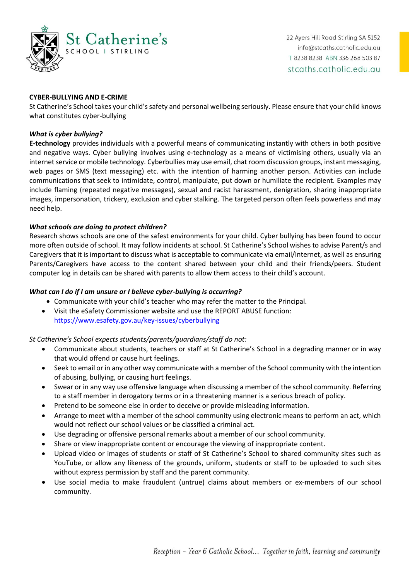

#### **CYBER-BULLYING AND E-CRIME**

St Catherine's School takes your child's safety and personal wellbeing seriously. Please ensure that your child knows what constitutes cyber-bullying

#### *What is cyber bullying?*

**E-technology** provides individuals with a powerful means of communicating instantly with others in both positive and negative ways. Cyber bullying involves using e-technology as a means of victimising others, usually via an internet service or mobile technology. Cyberbullies may use email, chat room discussion groups, instant messaging, web pages or SMS (text messaging) etc. with the intention of harming another person. Activities can include communications that seek to intimidate, control, manipulate, put down or humiliate the recipient. Examples may include flaming (repeated negative messages), sexual and racist harassment, denigration, sharing inappropriate images, impersonation, trickery, exclusion and cyber stalking. The targeted person often feels powerless and may need help.

## *What schools are doing to protect children?*

Research shows schools are one of the safest environments for your child. Cyber bullying has been found to occur more often outside of school. It may follow incidents at school. St Catherine's School wishes to advise Parent/s and Caregivers that it is important to discuss what is acceptable to communicate via email/Internet, as well as ensuring Parents/Caregivers have access to the content shared between your child and their friends/peers. Student computer log in details can be shared with parents to allow them access to their child's account.

# *What can I do if I am unsure or I believe cyber-bullying is occurring?*

- Communicate with your child's teacher who may refer the matter to the Principal.
- Visit the eSafety Commissioner website and use the REPORT ABUSE function: <https://www.esafety.gov.au/key-issues/cyberbullying>

#### *St Catherine's School expects students/parents/guardians/staff do not:*

- Communicate about students, teachers or staff at St Catherine's School in a degrading manner or in way that would offend or cause hurt feelings.
- Seek to email or in any other way communicate with a member of the School community with the intention of abusing, bullying, or causing hurt feelings.
- Swear or in any way use offensive language when discussing a member of the school community. Referring to a staff member in derogatory terms or in a threatening manner is a serious breach of policy.
- Pretend to be someone else in order to deceive or provide misleading information.
- Arrange to meet with a member of the school community using electronic means to perform an act, which would not reflect our school values or be classified a criminal act.
- Use degrading or offensive personal remarks about a member of our school community.
- Share or view inappropriate content or encourage the viewing of inappropriate content.
- Upload video or images of students or staff of St Catherine's School to shared community sites such as YouTube, or allow any likeness of the grounds, uniform, students or staff to be uploaded to such sites without express permission by staff and the parent community.
- Use social media to make fraudulent (untrue) claims about members or ex-members of our school community.